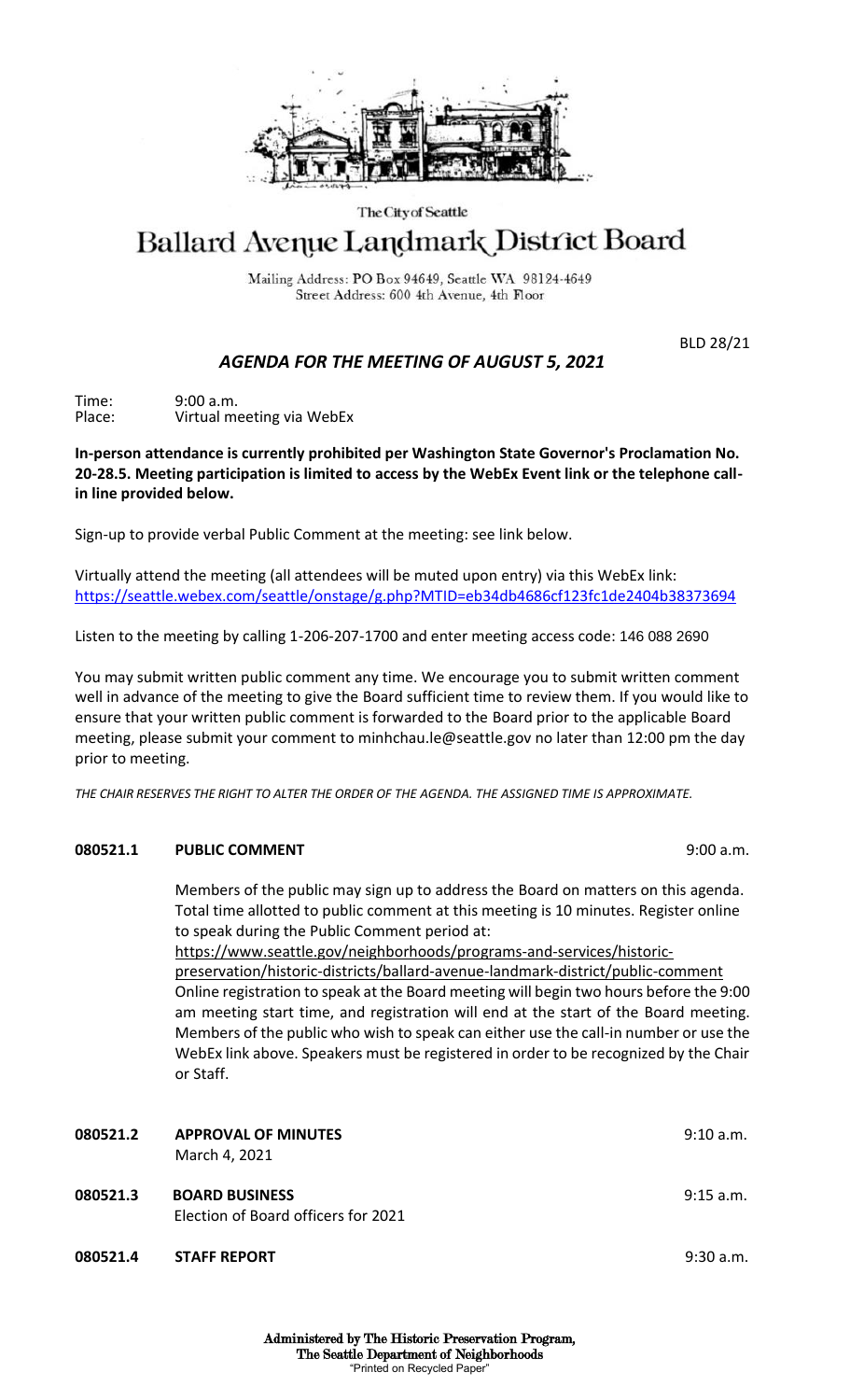

## The City of Seattle

# Ballard Avenue Landmark District Board

Mailing Address: PO Box 94649, Seattle WA 98124-4649 Street Address: 600 4th Avenue, 4th Floor

BLD 28/21

## *AGENDA FOR THE MEETING OF AUGUST 5, 2021*

Time: 9:00 a.m. Place: Virtual meeting via WebEx

**In-person attendance is currently prohibited per Washington State Governor's Proclamation No. 20-28.5. Meeting participation is limited to access by the WebEx Event link or the telephone callin line provided below.** 

Sign-up to provide verbal Public Comment at the meeting: see link below.

Virtually attend the meeting (all attendees will be muted upon entry) via this WebEx link: <https://seattle.webex.com/seattle/onstage/g.php?MTID=eb34db4686cf123fc1de2404b38373694>

Listen to the meeting by calling 1-206-207-1700 and enter meeting access code: 146 088 2690

You may submit written public comment any time. We encourage you to submit written comment well in advance of the meeting to give the Board sufficient time to review them. If you would like to ensure that your written public comment is forwarded to the Board prior to the applicable Board meeting, please submit your comment to minhchau.le@seattle.gov no later than 12:00 pm the day prior to meeting.

*THE CHAIR RESERVES THE RIGHT TO ALTER THE ORDER OF THE AGENDA. THE ASSIGNED TIME IS APPROXIMATE.*

## **080521.1 PUBLIC COMMENT** 9:00 a.m.

Members of the public may sign up to address the Board on matters on this agenda. Total time allotted to public comment at this meeting is 10 minutes. Register online to speak during the Public Comment period at:

https://www.seattle.gov/neighborhoods/programs-and-services/historicpreservation/historic-districts/ballard-avenue-landmark-district/public-comment Online registration to speak at the Board meeting will begin two hours before the 9:00 am meeting start time, and registration will end at the start of the Board meeting. Members of the public who wish to speak can either use the call-in number or use the WebEx link above. Speakers must be registered in order to be recognized by the Chair or Staff.

| 080521.2 | <b>APPROVAL OF MINUTES</b><br>March 4, 2021                  | 9:10 a.m.   |
|----------|--------------------------------------------------------------|-------------|
| 080521.3 | <b>BOARD BUSINESS</b><br>Election of Board officers for 2021 | $9:15$ a.m. |
| 080521.4 | <b>STAFF REPORT</b>                                          | 9:30a.m.    |